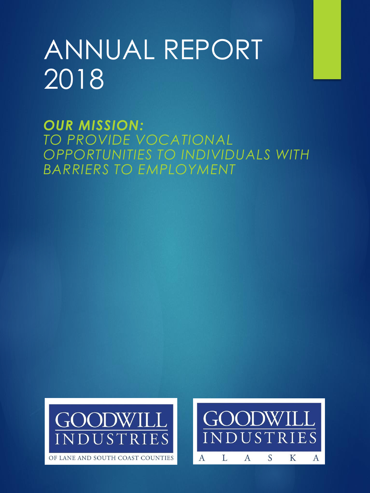# ANNUAL REPORT 2018

*OUR MISSION: TO PROVIDE VOCATIONAL OPPORTUNITIES TO INDIVIDUALS WITH BARRIERS TO EMPLOYMENT*



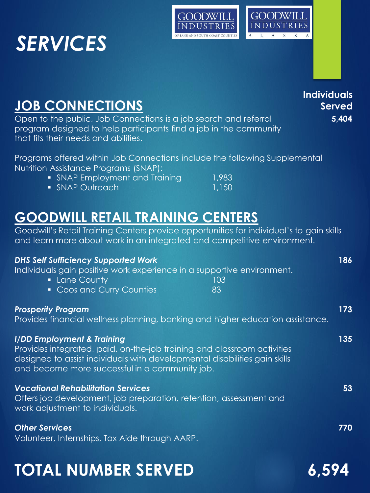## *SERVICES*





**Individuals** 

#### **JOB CONNECTIONS** Open to the public, Job Connections is a job search and referral **5,404** program designed to help participants find a job in the community that fits their needs and abilities. Programs offered within Job Connections include the following Supplemental Nutrition Assistance Programs (SNAP): • SNAP Employment and Training 1,983 ■ SNAP Outreach 1,150 **GOODWILL RETAIL TRAINING CENTERS** Goodwill's Retail Training Centers provide opportunities for individual's to gain skills and learn more about work in an integrated and competitive environment. *DHS Self Sufficiency Supported Work* **186** Individuals gain positive work experience in a supportive environment. **Lane County 103** • Coos and Curry Counties 83 *Prosperity Program* **173**  Provides financial wellness planning, banking and higher education assistance. *I/DD Employment & Training* **135** Provides integrated, paid, on-the-job training and classroom activities designed to assist individuals with developmental disabilities gain skills and become more successful in a community job. *Vocational Rehabilitation Services* **53**  Offers job development, job preparation, retention, assessment and work adjustment to individuals. *Other Services* **770** Volunteer, Internships, Tax Aide through AARP. **Served**

## **TOTAL NUMBER SERVED 6,594**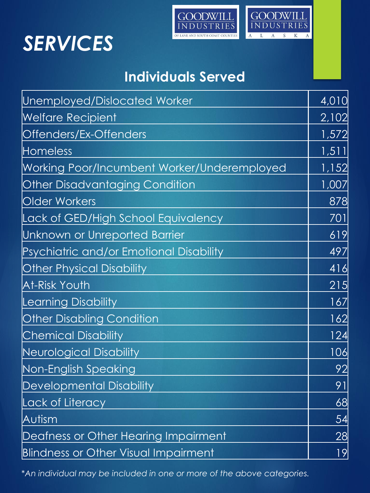## *SERVICES*



### **Individuals Served**

| Unemployed/Dislocated Worker                | 4,010 |
|---------------------------------------------|-------|
| <b>Welfare Recipient</b>                    | 2,102 |
| Offenders/Ex-Offenders                      | 1,572 |
| <b>Homeless</b>                             | 1,511 |
| Working Poor/Incumbent Worker/Underemployed | 1,152 |
| <b>Other Disadvantaging Condition</b>       | 1,007 |
| <b>Older Workers</b>                        | 878   |
| Lack of GED/High School Equivalency         | 701   |
| Unknown or Unreported Barrier               | 619   |
| Psychiatric and/or Emotional Disability     | 497   |
| <b>Other Physical Disability</b>            | 416   |
| At-Risk Youth                               | 215   |
| <b>Learning Disability</b>                  | 167   |
| <b>Other Disabling Condition</b>            | 162   |
| <b>Chemical Disability</b>                  | 124   |
| Neurological Disability                     | 106   |
| Non-English Speaking                        | 92    |
| <b>Developmental Disability</b>             | 91    |
| Lack of Literacy                            | 68    |
| Autism                                      | 54    |
| Deafness or Other Hearing Impairment        | 28    |
| <b>Blindness or Other Visual Impairment</b> | 9     |

\**An individual may be included in one or more of the above categories.*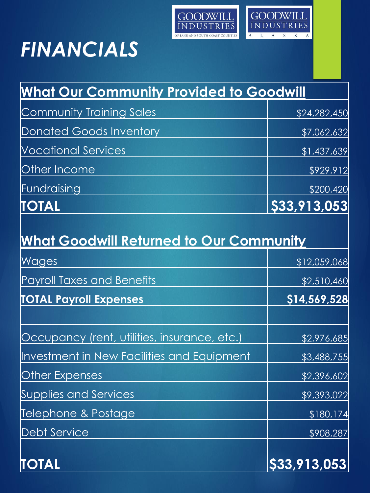

**GOODWILL**<br>INDUSTRIES

 $\mathbf{A}$ 

 $\boldsymbol{\mathrm{A}}$ L

# *FINANCIALS*

| <b>What Our Community Provided to Goodwill</b> |              |
|------------------------------------------------|--------------|
| Community Training Sales                       | \$24,282,450 |
| Donated Goods Inventory                        | \$7,062,632  |
| <b>Nocational Services</b>                     | \$1,437,639  |
| <b>Other Income</b>                            | \$929,912    |
| Fundraising                                    | \$200,420    |
| <b>TOTAL</b>                                   | \$33,913,053 |

| <b>What Goodwill Returned to Our Community</b> |              |  |
|------------------------------------------------|--------------|--|
| Wages                                          | \$12,059,068 |  |
| Payroll Taxes and Benefits                     | \$2,510,460  |  |
| <b>TOTAL Payroll Expenses</b>                  | \$14,569,528 |  |
| Occupancy (rent, utilities, insurance, etc.)   | \$2,976,685  |  |
| Investment in New Facilities and Equipment     | \$3,488,755  |  |
| Other Expenses                                 | \$2,396,602  |  |
| <b>Supplies and Services</b>                   | \$9,393,022  |  |
| Telephone & Postage                            | \$180,174    |  |
| <b>Debt Service</b>                            | \$908,287    |  |
| TOTAL                                          | \$33,913,053 |  |